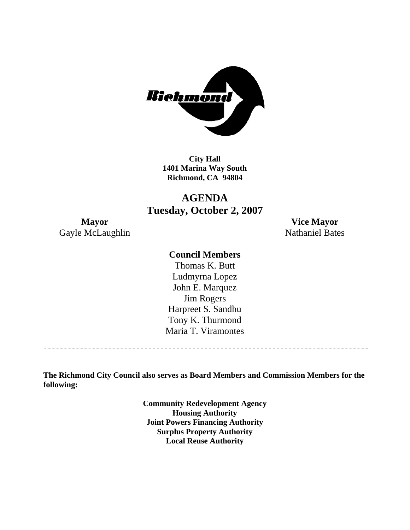

**City Hall 1401 Marina Way South Richmond, CA 94804** 

# **AGENDA Tuesday, October 2, 2007**

Gayle McLaughlin Nathaniel Bates

**Mayor Vice Mayor** 

### **Council Members**

Harpreet S. Sandhu Tony K. Thurmond Maria T. Viramontes Thomas K. Butt Ludmyrna Lopez John E. Marquez Jim Rogers

**The Richmond City Council also serves as Board Members and Commission Members for the following:** 

> **Community Redevelopment Agency Housing Authority Joint Powers Financing Authority Surplus Property Authority Local Reuse Authority**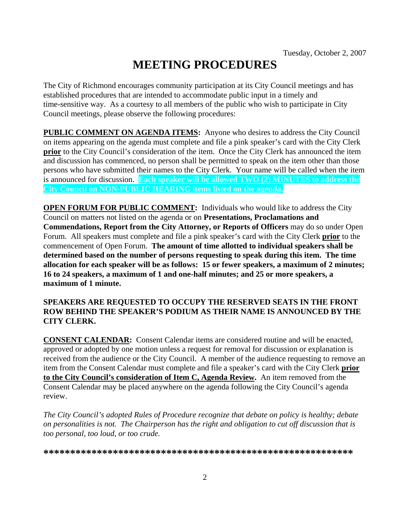# **MEETING PROCEDURES**

The City of Richmond encourages community participation at its City Council meetings and has established procedures that are intended to accommodate public input in a timely and time-sensitive way. As a courtesy to all members of the public who wish to participate in City Council meetings, please observe the following procedures:

**PUBLIC COMMENT ON AGENDA ITEMS:** Anyone who desires to address the City Council on items appearing on the agenda must complete and file a pink speaker's card with the City Clerk **prior** to the City Council's consideration of the item. Once the City Clerk has announced the item and discussion has commenced, no person shall be permitted to speak on the item other than those persons who have submitted their names to the City Clerk. Your name will be called when the item is announced for discussion. **Each speaker will be allowed TWO (2) MINUTES to address the City Council on NON-PUBLIC HEARING items listed on the agenda.** 

**OPEN FORUM FOR PUBLIC COMMENT:** Individuals who would like to address the City Council on matters not listed on the agenda or on **Presentations, Proclamations and Commendations, Report from the City Attorney, or Reports of Officers** may do so under Open Forum. All speakers must complete and file a pink speaker's card with the City Clerk **prior** to the commencement of Open Forum. **The amount of time allotted to individual speakers shall be determined based on the number of persons requesting to speak during this item. The time allocation for each speaker will be as follows: 15 or fewer speakers, a maximum of 2 minutes; 16 to 24 speakers, a maximum of 1 and one-half minutes; and 25 or more speakers, a maximum of 1 minute.** 

### **SPEAKERS ARE REQUESTED TO OCCUPY THE RESERVED SEATS IN THE FRONT ROW BEHIND THE SPEAKER'S PODIUM AS THEIR NAME IS ANNOUNCED BY THE CITY CLERK.**

**CONSENT CALENDAR:** Consent Calendar items are considered routine and will be enacted, approved or adopted by one motion unless a request for removal for discussion or explanation is received from the audience or the City Council. A member of the audience requesting to remove an item from the Consent Calendar must complete and file a speaker's card with the City Clerk **prior to the City Council's consideration of Item C, Agenda Review.** An item removed from the Consent Calendar may be placed anywhere on the agenda following the City Council's agenda review.

*The City Council's adopted Rules of Procedure recognize that debate on policy is healthy; debate on personalities is not. The Chairperson has the right and obligation to cut off discussion that is too personal, too loud, or too crude.* 

**\*\*\*\*\*\*\*\*\*\*\*\*\*\*\*\*\*\*\*\*\*\*\*\*\*\*\*\*\*\*\*\*\*\*\*\*\*\*\*\*\*\*\*\*\*\*\*\*\*\*\*\*\*\*\*\*\*\***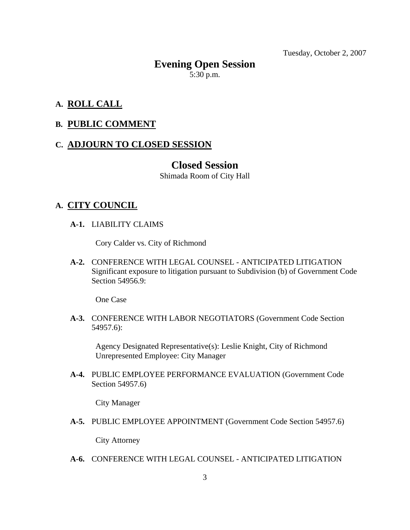Tuesday, October 2, 2007

# **Evening Open Session**  5:30 p.m.

## **A. ROLL CALL**

### **B. PUBLIC COMMENT**

### **C. ADJOURN TO CLOSED SESSION**

### **Closed Session**

Shimada Room of City Hall

### **A. CITY COUNCIL**

 **A-1.** LIABILITY CLAIMS

Cory Calder vs. City of Richmond

 **A-2.** CONFERENCE WITH LEGAL COUNSEL - ANTICIPATED LITIGATION Significant exposure to litigation pursuant to Subdivision (b) of Government Code Section 54956.9:

One Case

 **A-3.** CONFERENCE WITH LABOR NEGOTIATORS (Government Code Section 54957.6):

Agency Designated Representative(s): Leslie Knight, City of Richmond Unrepresented Employee: City Manager

 **A-4.** PUBLIC EMPLOYEE PERFORMANCE EVALUATION (Government Code Section 54957.6)

City Manager

 **A-5.** PUBLIC EMPLOYEE APPOINTMENT (Government Code Section 54957.6)

City Attorney

 **A-6.** CONFERENCE WITH LEGAL COUNSEL - ANTICIPATED LITIGATION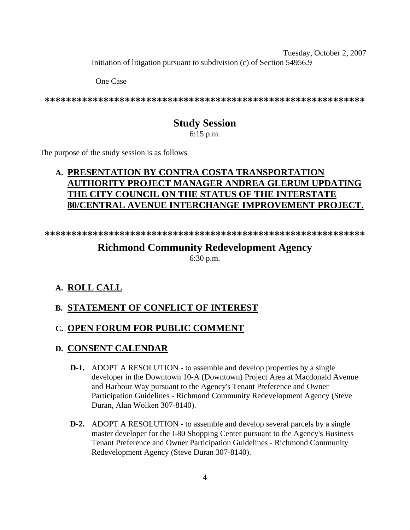Tuesday, October 2, 2007 Initiation of litigation pursuant to subdivision (c) of Section 54956.9

One Case

**\*\*\*\*\*\*\*\*\*\*\*\*\*\*\*\*\*\*\*\*\*\*\*\*\*\*\*\*\*\*\*\*\*\*\*\*\*\*\*\*\*\*\*\*\*\*\*\*\*\*\*\*\*\*\*\*\*\*\*\*** 

# **Study Session**

6:15 p.m.

The purpose of the study session is as follows

# **A. PRESENTATION BY CONTRA COSTA TRANSPORTATION AUTHORITY PROJECT MANAGER ANDREA GLERUM UPDATING THE CITY COUNCIL ON THE STATUS OF THE INTERSTATE 80/CENTRAL AVENUE INTERCHANGE IMPROVEMENT PROJECT.**

**\*\*\*\*\*\*\*\*\*\*\*\*\*\*\*\*\*\*\*\*\*\*\*\*\*\*\*\*\*\*\*\*\*\*\*\*\*\*\*\*\*\*\*\*\*\*\*\*\*\*\*\*\*\*\*\*\*\*\*\*** 

# **Richmond Community Redevelopment Agency**

6:30 p.m.

# **A. ROLL CALL**

# **B. STATEMENT OF CONFLICT OF INTEREST**

# **C. OPEN FORUM FOR PUBLIC COMMENT**

# **D. CONSENT CALENDAR**

- **D-1.** ADOPT A RESOLUTION to assemble and develop properties by a single developer in the Downtown 10-A (Downtown) Project Area at Macdonald Avenue and Harbour Way pursuant to the Agency's Tenant Preference and Owner Participation Guidelines - Richmond Community Redevelopment Agency (Steve Duran, Alan Wolken 307-8140).
- **D-2.** ADOPT A RESOLUTION to assemble and develop several parcels by a single master developer for the I-80 Shopping Center pursuant to the Agency's Business Tenant Preference and Owner Participation Guidelines - Richmond Community Redevelopment Agency (Steve Duran 307-8140).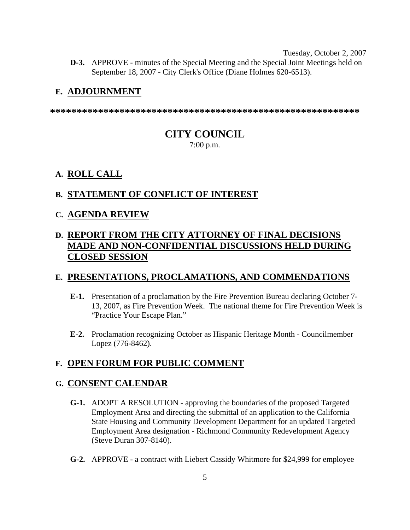Tuesday, October 2, 2007  **D-3.** APPROVE - minutes of the Special Meeting and the Special Joint Meetings held on September 18, 2007 - City Clerk's Office (Diane Holmes 620-6513).

### **E. ADJOURNMENT**

**\*\*\*\*\*\*\*\*\*\*\*\*\*\*\*\*\*\*\*\*\*\*\*\*\*\*\*\*\*\*\*\*\*\*\*\*\*\*\*\*\*\*\*\*\*\*\*\*\*\*\*\*\*\*\*\*\*\*** 

# **CITY COUNCIL**

7:00 p.m.

# **A. ROLL CALL**

# **B. STATEMENT OF CONFLICT OF INTEREST**

### **C. AGENDA REVIEW**

# **D. REPORT FROM THE CITY ATTORNEY OF FINAL DECISIONS MADE AND NON-CONFIDENTIAL DISCUSSIONS HELD DURING CLOSED SESSION**

# **E. PRESENTATIONS, PROCLAMATIONS, AND COMMENDATIONS**

- **E-1.** Presentation of a proclamation by the Fire Prevention Bureau declaring October 7- 13, 2007, as Fire Prevention Week. The national theme for Fire Prevention Week is "Practice Your Escape Plan."
- **E-2.** Proclamation recognizing October as Hispanic Heritage Month Councilmember Lopez (776-8462).

# **F. OPEN FORUM FOR PUBLIC COMMENT**

### **G. CONSENT CALENDAR**

- **G-1.** ADOPT A RESOLUTION approving the boundaries of the proposed Targeted Employment Area and directing the submittal of an application to the California State Housing and Community Development Department for an updated Targeted Employment Area designation - Richmond Community Redevelopment Agency (Steve Duran 307-8140).
- **G-2.** APPROVE a contract with Liebert Cassidy Whitmore for \$24,999 for employee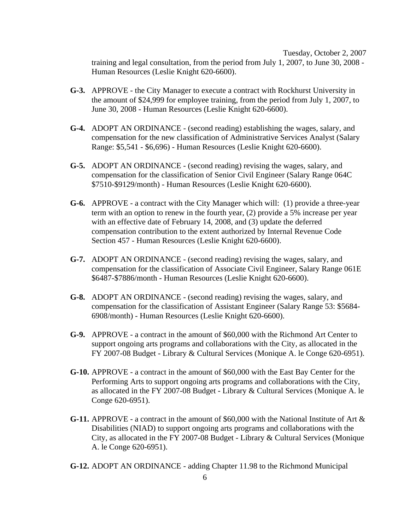Tuesday, October 2, 2007 training and legal consultation, from the period from July 1, 2007, to June 30, 2008 - Human Resources (Leslie Knight 620-6600).

- **G-3.** APPROVE the City Manager to execute a contract with Rockhurst University in the amount of \$24,999 for employee training, from the period from July 1, 2007, to June 30, 2008 - Human Resources (Leslie Knight 620-6600).
- **G-4.** ADOPT AN ORDINANCE (second reading) establishing the wages, salary, and compensation for the new classification of Administrative Services Analyst (Salary Range: \$5,541 - \$6,696) - Human Resources (Leslie Knight 620-6600).
- **G-5.** ADOPT AN ORDINANCE (second reading) revising the wages, salary, and compensation for the classification of Senior Civil Engineer (Salary Range 064C \$7510-\$9129/month) - Human Resources (Leslie Knight 620-6600).
- **G-6.** APPROVE a contract with the City Manager which will: (1) provide a three-year term with an option to renew in the fourth year, (2) provide a 5% increase per year with an effective date of February 14, 2008, and (3) update the deferred compensation contribution to the extent authorized by Internal Revenue Code Section 457 - Human Resources (Leslie Knight 620-6600).
- **G-7.** ADOPT AN ORDINANCE (second reading) revising the wages, salary, and compensation for the classification of Associate Civil Engineer, Salary Range 061E \$6487-\$7886/month - Human Resources (Leslie Knight 620-6600).
- **G-8.** ADOPT AN ORDINANCE (second reading) revising the wages, salary, and compensation for the classification of Assistant Engineer (Salary Range 53: \$5684- 6908/month) - Human Resources (Leslie Knight 620-6600).
- **G-9.** APPROVE a contract in the amount of \$60,000 with the Richmond Art Center to support ongoing arts programs and collaborations with the City, as allocated in the FY 2007-08 Budget - Library & Cultural Services (Monique A. le Conge 620-6951).
- **G-10.** APPROVE a contract in the amount of \$60,000 with the East Bay Center for the Performing Arts to support ongoing arts programs and collaborations with the City, as allocated in the FY 2007-08 Budget - Library & Cultural Services (Monique A. le Conge 620-6951).
- **G-11.** APPROVE a contract in the amount of \$60,000 with the National Institute of Art & Disabilities (NIAD) to support ongoing arts programs and collaborations with the City, as allocated in the FY 2007-08 Budget - Library & Cultural Services (Monique A. le Conge 620-6951).
- **G-12.** ADOPT AN ORDINANCE adding Chapter 11.98 to the Richmond Municipal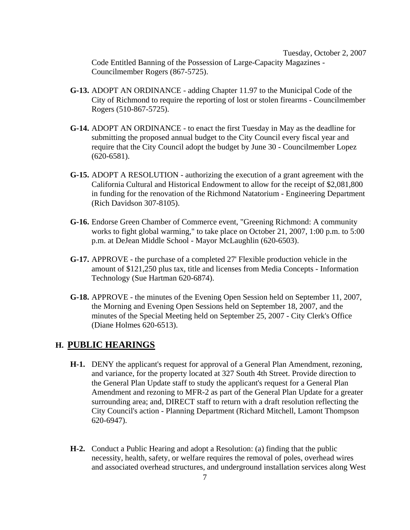Tuesday, October 2, 2007 Code Entitled Banning of the Possession of Large-Capacity Magazines - Councilmember Rogers (867-5725).

- **G-13.** ADOPT AN ORDINANCE adding Chapter 11.97 to the Municipal Code of the City of Richmond to require the reporting of lost or stolen firearms - Councilmember Rogers (510-867-5725).
- **G-14.** ADOPT AN ORDINANCE to enact the first Tuesday in May as the deadline for submitting the proposed annual budget to the City Council every fiscal year and require that the City Council adopt the budget by June 30 - Councilmember Lopez (620-6581).
- **G-15.** ADOPT A RESOLUTION authorizing the execution of a grant agreement with the California Cultural and Historical Endowment to allow for the receipt of \$2,081,800 in funding for the renovation of the Richmond Natatorium - Engineering Department (Rich Davidson 307-8105).
- **G-16.** Endorse Green Chamber of Commerce event, "Greening Richmond: A community works to fight global warming," to take place on October 21, 2007, 1:00 p.m. to 5:00 p.m. at DeJean Middle School - Mayor McLaughlin (620-6503).
- **G-17.** APPROVE the purchase of a completed 27' Flexible production vehicle in the amount of \$121,250 plus tax, title and licenses from Media Concepts - Information Technology (Sue Hartman 620-6874).
- **G-18.** APPROVE the minutes of the Evening Open Session held on September 11, 2007, the Morning and Evening Open Sessions held on September 18, 2007, and the minutes of the Special Meeting held on September 25, 2007 - City Clerk's Office (Diane Holmes 620-6513).

#### **H. PUBLIC HEARINGS**

- **H-1.** DENY the applicant's request for approval of a General Plan Amendment, rezoning, and variance, for the property located at 327 South 4th Street. Provide direction to the General Plan Update staff to study the applicant's request for a General Plan Amendment and rezoning to MFR-2 as part of the General Plan Update for a greater surrounding area; and, DIRECT staff to return with a draft resolution reflecting the City Council's action - Planning Department (Richard Mitchell, Lamont Thompson 620-6947).
- **H-2.** Conduct a Public Hearing and adopt a Resolution: (a) finding that the public necessity, health, safety, or welfare requires the removal of poles, overhead wires and associated overhead structures, and underground installation services along West